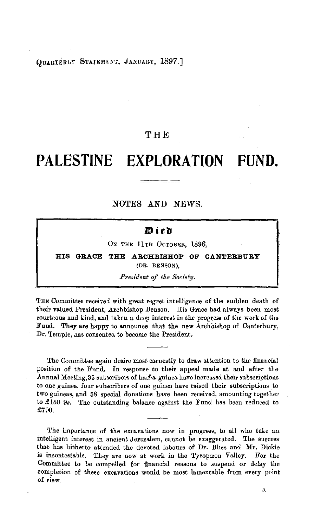OTARTERLY STATEMENT, JANUARY, 1897.]

# **THE**

# **PALESTINE EXPLORATION FUND.**

**NOTES AND** NEWS.

# 通ieh

OX THE 11TH OCTOBER, 1896,

**HIS GRACE THE ARCHBISHOP OF CANTERBURY**  (DR. BENSON),

#### *President of tke Society.*

THE Committee received with great regret intelligence of the sudden death of their valued President, Archbishop Benson. His Grace had always been most courteous and kind, and taken a deep interest in the progress of the work of the Fund. They are happy to announce that the new Archbishop of Canterbury, Dr. Temple, has consented to become the President.

The Committee again desire most earnestly to draw attention to the financial position of the Fund. In response to their appeal made at and after the Annual Meeting, 35 subscribers of half-a-guinea have increased their subscriptions to one guinea, four subscribers of one guinea have raised their subscriptions to two guineas, and 58 special donations have been received, amounting together to £150 9s. The outstanding balance against the Fund has been reduced to £790.

The importance of the excavations now in progress, to all who take an intelligent interest in ancient Jerusalem, cannot be exaggerated. The success that has hitherto attended the devoted labours of Dr. Bliss and **Mr.** Dickie is incontestable. They are now at work in the Tyropoeon Valley. For the Committee to be compelled for financial reasons to suspend or delay the completion of these excavations would be most lamentable from every point of view.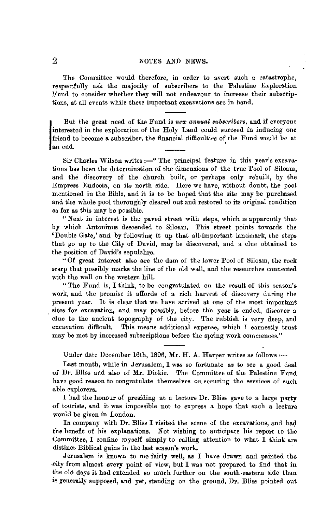The Committee would therefore, in order to avert such a catastrophe, respectfully ask the majority of subscribers to the Palestine Exploration Fund to consider whether they will not endeavour to increase their subscriptions, at all events while these important excavations arc in hand.

But the great need of the Fund is *new annual subscribers*, and if everyone interested in the exploration of the Holy Land could succeed in inducing one friend to become a subscriber, the financial difficulties of the Fund interested in the exploration of the Holy Land could succeed in inducing one friend to become a subscriber, the financial difficulties of the Fund would be at an end.

Sir Charles Wilson writes:-" The principal feature in this year's excavations has been the determination of the dimensions of the true Pool of Siloam, and the discovery of the church built, or perhaps only rebuilt, by the Empress Eudocia, on its north side. Here we have, without doubt, the pool mentioned in the Bible, and it is to be hoped that the site may be purchased and the whole pool thoroughly cleared out and restored to its original condition as far as this may be possible.

"Next in interest is the paved street with steps, which 1s apparently that by which Antoninus descended to Siloam. This street points towards the 'Double Gate,' and by following it up that all-important landmark, the steps that go up to the City of David, may be discovered, and a clue obtained to the position of David's sepulchre.

"Of great interest also are the dam of the lower Pool of Siloam, the rock scarp that possibly marks the line of the old wall, and the researches connected with the wall on the western bill.

"The Fund is, I think, to be congratulated on the result of this season's work, and the promise it affords of a rich harvest of discovery during the present year. It is clear that we have arrived at one of the most important . sites for excavation, and may possibly, before the year is ended, discover a clue to the ancient topography of the city. The rnbbish is very deep, and excavation difficult. This means additional expense, which I earnestly trust may be met by increased subscriptions before the spring work commences."

Under date December 16th, 1896, Mr. H. A. Harper writes as follows: $-$ 

Last month, while in Jerusalem, I was so fortunate as to see a good deal of Dr. Bliss and also of **Mr.** Dickie. The Committee of the Palestine Fund have good reason to congratulate themselves on securing the services of such able explorers.

I had the honour of presiding at a lecture Dr. Bliss gave to a large party of tourists, and it was impossible not to express a hope that such a lecture would be given in London.

In company with  $Dr$ . Bliss I visited the scene of the excavations, and had the benefit of his explanations. Not wishing to anticipate his report to the Committee, I confine myself simply to calling attention to what I think are distinct Biblical gains in the last season's work.

Jerusalem is known to me fairly well, as I have drawn ancl painted the eity from almost every point of view, but I was not prepared to find that in the old days it had extended so much further on the south-eastern side than is generally supposed, and yet, standing on the ground, Dr. Bliss pointed out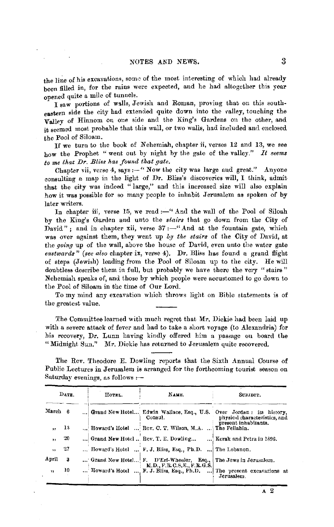the line of his excavations, some of the most interesting of which had already been filled in, for the rains were expected, and he had altogether this year opened qnite a mile of tunnels.

I saw portions of walls, Jewish and Roman, proving that on this southeastern side the city had extended quite down into the valley, touching the Valley of Hinnom on one side and the King's Gardens on the other, and it seemed most probable that this wall, or two walls, had included and enclosed the Pool of Siloam.

If we turn to the book of Nehemiah, chapter ii, verses 12 and 13, we see how the Prophet "went out by night by the gate of the valley." It seems  $to$  me that Dr. Bliss has found that gate.

Chapter vii, verse 4, says:-" Now the city was large and great." Anyone consulting a map in the light of Dr. Bliss's discoveries will, I think, admit that the city was indeed " large," and this increased size will also explain how it was possible for so many people to inhabit Jerusalem as spoken of by later writers.

In chapter iii, verse 15, we read:-" And the wall of the Pool of Siloah by the King's Garden and unto the *stairs* that go down from the City of David" ; and in chapter xii, verse  $37:$  -"And at the fountain gate, which was over against them, they went up *by the stairs* of the City of David, at the *going* up of the wall, above the house of David, even unto the water gate *eastwards" (see also* chapter ix, verse 4), Dr. Bliss has found a grand flight of steps (Jewish) leading from the Pool of Siloam up to the city. He will doubtless describe them in full, but probably we have there the very "stairs" Nehemiah speaks of, and those by which people were accustomed to go down to the Pool of Siloam in the time of Our Lord.

To my mind any excavation which throws light on Bible statements is of the greatest value.

The Committee learned with much regret that Mr. Dickie had been laid up with a severe attack of fever and had to take a short voyage (to Alexandria) for his recovery, Dr. Lunn having kindly offered him a passage on board the "Midnight Sun." Mr. Dickie has returned to Jerusalem quite recovered.

The Rev. Theodore E. Dowling reports that the Sixth Annual Course of Public Lectures in Jerusalem is arranged for the forthcoming tourist season on Saturday evenings, as follows :--

|                         | DATE. | HOTEL. | NAME.                                                                                        | SUBJECT.                                                                                             |
|-------------------------|-------|--------|----------------------------------------------------------------------------------------------|------------------------------------------------------------------------------------------------------|
| March 6                 |       |        | Consul.                                                                                      | Grand New Hotel Edwin Wallace, Esq., U.S. Over Jordan: its history.<br>physical characteristics, and |
| $\overline{\mathbf{z}}$ | 13    |        | Howard's Hotel  Rev. C. T. Wilson, M.A.  The Fellahin.                                       | present inhabitants.                                                                                 |
| $\overline{11}$         | 20    |        | Grand New Hotel  Rev. T. E. Dowling                                                          | Kerak and Petra in 1896.                                                                             |
| ٠.                      | 27    |        | Howard's Hotel  F. J. Bliss. Esq., Ph.D.  The Lebanon.                                       |                                                                                                      |
| April                   | 3     |        | Grand New Hotel F. D'Erf-Wheeler. Esq., The Jews in Jerusalem.<br>M.D., F.R.C.S.E., F.R.G.S. |                                                                                                      |
| $\mathbf{a}$            | 10    |        | Howard's Hotel  F. J. Bliss, Esq., Ph.D.                                                     | The present excavations at<br>Jerusalem.                                                             |

**A 2**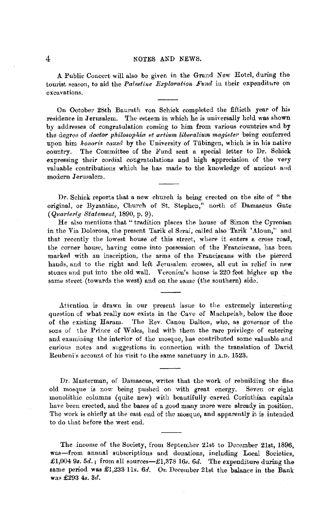A Public Concert will also be given in the Grand New Hotel, during the tourist season, to aid the *Palestine Exploration Fund* in their expenditure on excavations.

On October 28th Baurath von Schick completed the fiftieth year of his residence in Jerusalem. The esteem in which he is universally held was shown by addresses of congratulation coming to him from various countries and by the degree of *doctor philosophia et artium liberalium magister* being conferred upon him *honoris causa* by the University of Tübingen, which is in his native country. The Committee of the Fund sent a special letter to Dr. Schick expressing their cordial congratulations and high &ppreciation of the very valuable contributions which he has made to the knowledge of ancient aud modern Jerusalem.

Dr. Schick reports that a new church is being erected on the site of "the original, or Byzantine, Church of St. Stephen," north of Damascus Gate ( *Quarterly Statement,* 1890, p. 9).

He also mentions that "tradition places the house of Simon the Cyrenian in the Via Dolorosa, the present Tarik el Serai, called also Tarik 'Aloun," and that recently the lowest house of this street, where it enters a cross road, the corner house, having come into possession of the Franciscans, has been marked with an inscription, the arms of the Franciscans with the pierced hands, and to the right and left Jerusalem crosses, all cut in relief in new stones and put into the old wall. Veronica's house is 220 feet higher up the same street (towards the west) and on the same (the southern) side.

Attention is drawn in our present issue to the extremely interesting question of what really now exists in the Cave of Machpelah, below the floor of the existing Haram. The Rev. Canon Dalton, who, as govemor of the sons of the Prince of Wales, had with them the rare privilege of entering and examining the interior of the mosque, has contributed some valuable and curious notes and suggestions in connection with the translation of David Reubeni's account of his visit to the same sanctuary in A.D. 1523.

Dr. Masterman, of Damascus, writes that the work of rebuilding the fine old mosque is now being pushed on with great energy. Seven or eight monolithic columns (quite new) with beautifully carved Corinthian capitals have been erected, and the bases of a good many more were already in position. The work is chiefly at the east end of the mosque, and apparently it is intended to do that before the west end.

The income of the Society, from September 21st to December 21st, 1896, was-from annual subscriptions and donations, including Local Societies, £1,004 9s. 5d.; from all sources-£1,378 16s. 6d. The expenditure during the same period was £1,233 lls. *6d.* On December 21st the balance in the Bank was £293 4s. 3d.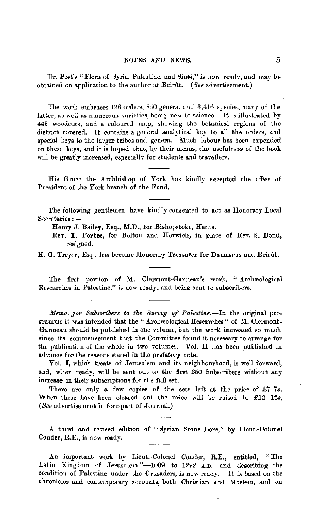Dr. Post's "Flora of Syria, Palestine, and Sinai,'' is now ready, and may be obtained on application to the author at Beirut. *(See advertisement.)* 

The work embraces 126 orders, 850 genera, and 3,416 species, many of the latter, as well as numerous varieties, being new to science. It is illustrated by 445 woodcuts, and a coloured map, showing the botanical regions of the district covered. It contains a general analytical key to all the orders, and special keys to the larger tribes and genera. Much labour has been expended on these keys, and it is hoped that, by their means, the usefulness of the book will be greatly increased, especially for students and travellers.

His Grace the Archbishop of York has kindly accepted the office of President of the York branch of the Fund.

The following gentlemen have kindly consented to act as Honorary Local Secretaries : --

Henry J. Bailey, Esq., M.D., for Bishopstoke, Hants.

Rev. T. Forbes, for Bolton and Horwich, in place of Rev. S. Bond, resigned.

E. G. Trever, Esq., has become Honorary Treasurer for Damascus and Beirut.

The first portion of M. Clermont-Ganneau's work, "Archaeological Researches in Palestine," is now ready, and being sent to subscribers.

*Memo. for Subseribers to tke Survey of Palestine.-In* the original pro. gramme it was intended that the "Archæological Researches" of M. Clermont-Ganneau should be published in one volume, but the work increased so much since its commencement that the Committee found it necessary to arrange for the publication of the whole in two voiumes. Vol. II has been published in advance for the reasons stated in the prefatory note.

Vol. I, which treats of Jerusalem and its neighbourhood, is well forward, and, when ready, will be sent out to the first 260 Subscribers without any increase in their subscriptions for the full set.

There are only a few copies of the sets left at the price of  $E7$  7s. When these have been cleared out the price will be raised to £12 12s, *(See* advertisement in fore-part of Journal.)

*A.* third and revised edition of " Syrian Stone Lore," by Lieut.-Colonel Conder, R.E., is now ready.

An important work by Lieut.-Colonel Conder, R.E., entitled, "The Latin Kingdom of Jerusalem "--1099 to 1292 A.D.-and describing the condition of Palestine under the Crusaders, is now ready. It is based on the chronicles and contemporary accounts, both Christian and Moslem, and on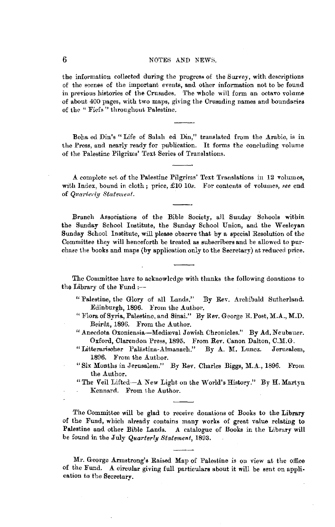the information collected during the progress of the Survey, with descriptions of the scenes of the important events, and other information not to be found in previous histories of the Crusades. The whole will form an octavo volume of about 400 pages, with two maps, giving the Crusading names and boundaries of the " Fiefs" throughout Palestine.

Boha ed Din's "Life of Salah ed Din," translated from the Arabic, is in the Press, and nearly ready for publication. It forms the concluding volume of the Palestine Pilgrims' 'l'ext Series of Translations.

A complete set of the Palestine Pilgrims' Text Translations in 12 volumes, with Index, bound in cloth; price, £10 10s. For contents of volumes, see end of *Quarterly Statement*.

Branch Associations of the Bible Society, all Sunday Schools within the Sunday School Institute, the Sunday School Union, and the Wesleyan Sunday School Institute, will please observe that by a special Resolution of the Committee they will henceforth be treated as subscribers and be allowed to purchase the books and maps (by application only to the Secretary) at reduced price.

The Committee have to acknowledge with thanks the following donations to the Library of the Fund  $:$ --

" Palestine, the Glory of all Lands." By Rev. Archibald Sutherland. Edinburgh, 1896. From the Author.

- "Flora of Syria, Palestine, and Sinai." By Rev. George E. Post, M.A., M.D. Beirût, 1896. From the Author.
- "Anecdota Oxoniensia-Mediæval Jewish Chronicles." By Ad. Neubauer. Oxford, Clarendon Press, 1895. From Rev. Canon Dalton, C.M.G.
- "Litterarischer Palästina-Almanach." By A. M. Luncz. Jerusalem, 1896. From the Author.
- "Six Months in Jerusalem." By Rev. Charles Biggs, M.A., 1896. From the Author.
- "The Veil Lifted-A New Light on the World's History." By H. Martyn Kennard. From the Author.

The Committee will be glad to receive donations of Books to the Library of the Fund, which already contains many works of great value relating to Palestine and other Bible Lands. A catalogue of Books in the Library will be found in the July *Quarterly Statement,* 1893.

Mr. George Armstrong's Raised Map of Palestine is on view at the office of the Fund. **A** circular giving full particulars about it will be sent on application to the Secretary.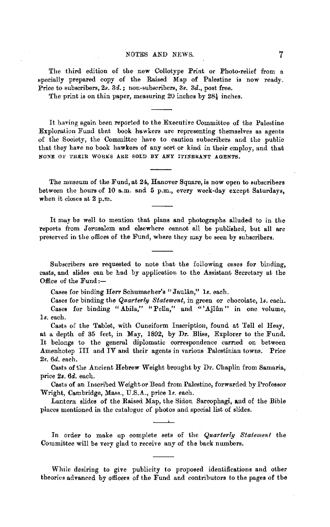The third edition of the new Collotype Print or Photo-relief from a specially prepared copy of the Raised Map of Palestine is now ready. Price to subscribers, 2s. 3d. ; non-subscribers, *3s. 3d.,* post free.

The print is on thin paper, measuring 20 inches by 28½ inches.

It having again been reported to the Executive Committee of the Palestine Exploration Fund tbat book hawkers are representing themselves as agents of the Society, the Committee have to caution subscribers and the public that they have no book hawkers of any sort or kind in their employ, and that NONE OF THEIR WORKS ARE SOLD BY ANY ITINERANT AGENTS.

The museum of the Fund, at 24, Hanover Square, is now open to subscribers between the hours of 10 a.m. and 5 p.m., every week-day except Saturdays, when it closes at 2 p.m.

It may be well to mention that plans and photographs alluded to in the reports from Jerusalem and elsewhere cannot all be published, but all are preserved in the offices of the Fund, where they may be seen by subscribers.

Subscribers are requested to note that the following cases for binding, casts, and slides can be had by application to the Assistant Secretary at the Office of the Fund:-

Cases for binding Herr Schumacher's "Jaulân," 1s. each.

Cases for binding the *Quarterly Statement*, in green or chocolate, *ls.* each. Cases for binding "Abila," "Pella," and "'Ajlûn" in one volume, *ls.* each.

Casts of the Tablet, with Cuneiform Inscription, found at Tell el Hesy, at a depth of 35 feet, in May, 1892, by **Dr.** Bliss, Explorer to the Fund. It belongs to the general diplomatic correspondence carried on between Amenhotep III and **IV and** their agents in various Palestinian towns. Price *2s. 6d.* each.

Casts of the Ancient Hebrew Weight brought by Dr. Chaplin from Samaria, price 2s. *6d.* each.

Casts of an Inscribed Weight or Bead from Palestine, forwarded by Professor Wright, Cambridge, Mass., U.S.A., price *ls.* each.

Lantern slides of the Raised Map, the Sidon Sarcophagi, and of the Bible places mentioned in the cutalogue of photos and special list of slides. --·-

In order to make up complete sets of the *Quarterly Statement* the Committee will be very glad to receive any of the back numbers.

While desiring to give publicity to proposed identifications and other theories advanced by officers of the Fund and contributors to the pages of the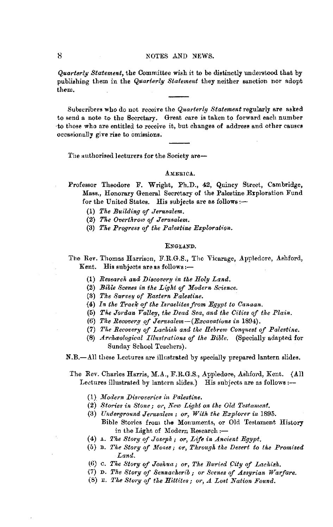*Quarterly Statement,* the Committee wish it to be distinctly understood that by publishing them in the *Quarterly Statement* they neither sanction nor adopt them.

Subscribers who do not receive the *Quarterly Statement* regularly are asked to send a note to the Secretary. Great care is taken to forward each number ·to those who are entitled to receive it, but changes of address and other causes occasionally give **rise** to omissions.

The authorised lecturers for the Society are-

## AMERICA.

Professor Theodore F. Wright, Ph.D., 42, Quincy Street, Cambridge, Mass., Honorary General Secretary of the Palestine Exploration Fund for the United States. His subjects are as follows:-

- (1) *The Building of Jerusalem.*
- (2) *The Overthrow of Jerusalem.*
- (3) *The Progress of the Palestine Exploration.*

## ENGLAND.

The Rev. Thomas Harrison, F.R.G.S., The Vicarage, Appledore, Ashford, Kent. His subjects are as follows: $-$ 

- (1) *Research and Discovery in the Holy Land.*
- (2) *Bible Scenes in the Light of Modern Science.*
- (3) *The Survey of Eastern Palestine.*
- (4) In the Track of the Israelites from Egypt to Canaan.
- (5) The Jordan Valley, the Dead Sea, and the Cities of the Plain.
- (6) *The Recovery of Jerusalem-(Excavations in* 1894).
- (7) The Recovery of Lachish and the Hebrew Conquest of Palestine.
- **(8)** *Arcka;ological Illustrations of the Bible.* (Specially adapted for Sunday School Teachers).

**N.B.-All these Lectures are illustrated by specially prepared lantern slides.** 

- The Rev. Charles Harris, M.A., F.R.G.S., Appledore, Ashford, Kent. (All Lectures illustrated by lantern slides.) His subjects are as follows :--
	- (1) *11:Iodern Discoveries in Palestine.*
	- **(2)** *Stories in Stone; or, Kew Light on the Old Testament.*
	- (3) *Underground Jerusalem* ; *or, With the Explorer in* 1895. Bible Stories from the Monuments, or Old Testament History in the Light of Modern Research:-
	- (4) A. The Story of Joseph; or, Life in Ancient Egypt.
	- (5) B. *The Story of Moses; or, Through the Desert to Ike Promised Land.*
	- (6) c. *The Story of Joshua; or, The Buried ()ity of Lachish.*
	- (7) D. *The Story of Sennackerib* ; *or Scenes of Assyrian Warfare.*
	- $(8)$  E. The Story of the Hittites; or,  $\Lambda$  Lost Nation Found.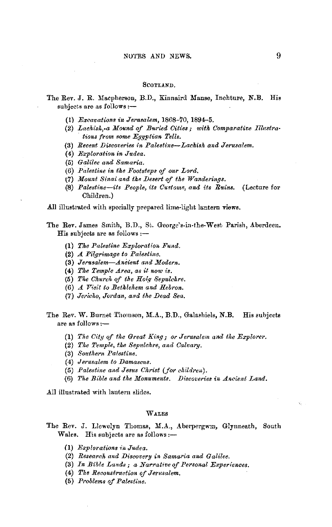#### SCOTLAND.

# The Rev. J. R. Macpherson, B.D., Kinnaird Manse, Inchture, N.B. His subjects are as follows:-

- (1) *Excavations in Jerusalem,* 1868-70, 1894-5.
- (2) *Lachish*, a Mound of Buried Cities; with Comparative Illustra*tions from some Egyptian Tells.*
- (3) *Recent Discoveries in Palestine-Lachish and Jerusalem.*
- (4) *Exploration in Judea.*
- (5) *Galilee and Samaria.*
- (6) Palestine in the Footsteps of our Lord.
- t7) *Mount Sinai and the IJesert of the Wanderings.*
- (8) Palestine-its People, its Customs, and its Ruins. (Lecture for Children.)

All illustrated with specially prepared lime-light lantern views.

- The Rev. James Smith, B.D., St. George's.in-the-West Parish, Aberdeen.  $H$ is subjects are as follows  $:$ --
	- **(1)** *The Palestine Exploration Fund.*
	- (2) *A. Pilgrimage to Palestine.*
	- **(3)** *Jerusalem-Ancient and Modern.*
	- (4) *The Temple Area, as it now is.*
	- (5) *Tue Churck of the Ho(// Sepulchre.*
	- (6) A Visit to Bethlehem and Hebron.
	- (7) *Jericho, Jordan, and the Dead Sea.*
- The Rev. W. Burnet Thomson, M.A., B.D., Galashiels, N.B. His subjects are as follows:-
	- (1) The City of the Great King; or Jerusalem and the Explorer.
	- (2) *Tke Temple, the Sepulchre, and Calvary.*
	- (3) *Southern Palestine.*
	- (4) *Jerusalem to Damascus.*
	- (5) Palestine and Jesus Christ (for children).
	- (6) The Bible and the Monuments. Discoveries in Ancient Land.

.All illustrated with lantern slides.

# WALES

- The Rev. J. Llewelyn Thomas, M.A., Aberpergwm, Glynneath, South Wales. His subjects are as follows:--
	- 0) *Explorations* ii, *Judea.*
	- (2) Research and Discovery in Samaria and Galilee.
	- (3) *In Bible Lands; a Narrative of Personal Experiences.*
	- (4) The Reconstruction of Jerusalem.
	- (5) Problems of Palestine.